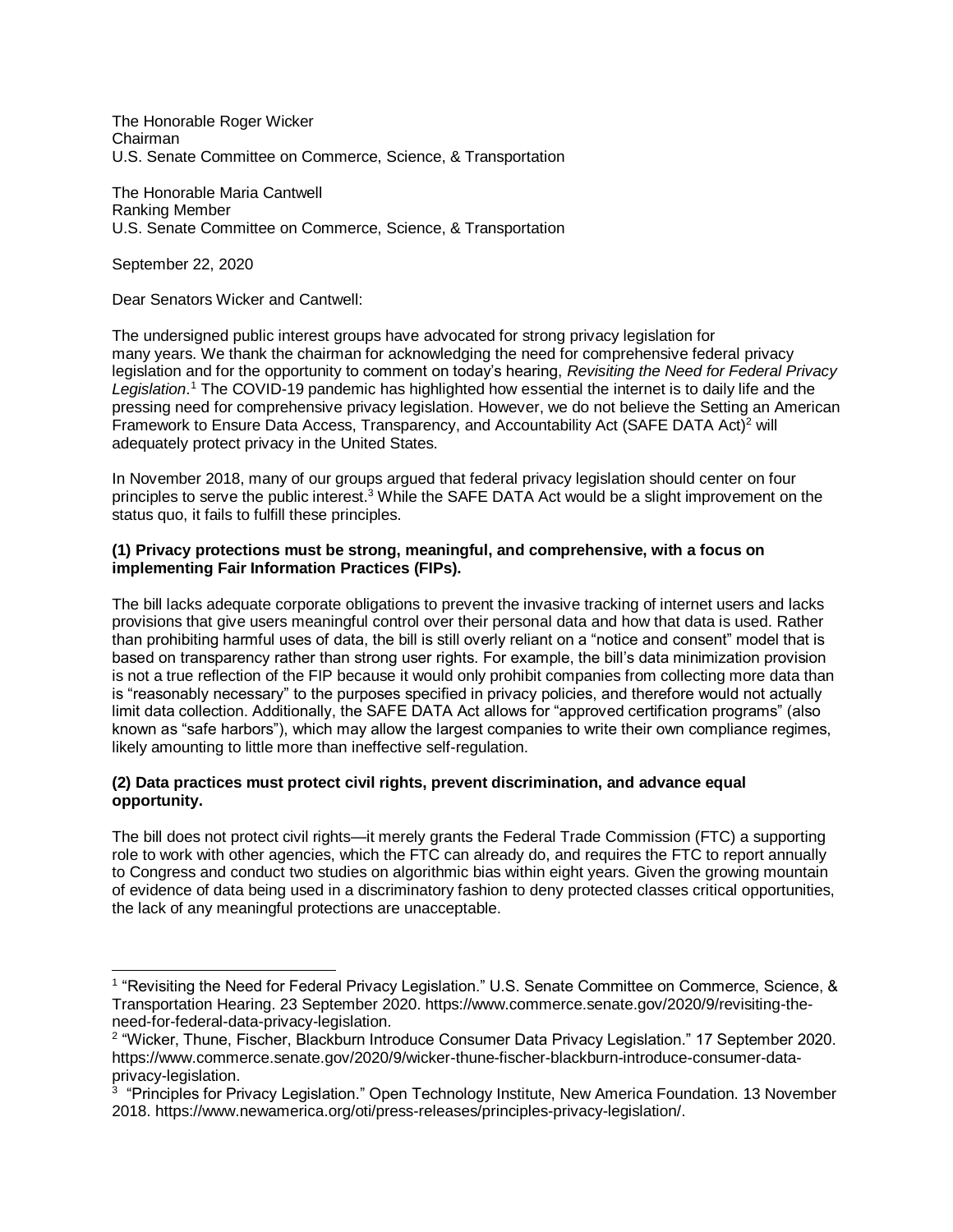The Honorable Roger Wicker Chairman U.S. Senate Committee on Commerce, Science, & Transportation

The Honorable Maria Cantwell Ranking Member U.S. Senate Committee on Commerce, Science, & Transportation

September 22, 2020

l

Dear Senators Wicker and Cantwell:

The undersigned public interest groups have advocated for strong privacy legislation for many years. We thank the chairman for acknowledging the need for comprehensive federal privacy legislation and for the opportunity to comment on today's hearing, *Revisiting the Need for Federal Privacy Legislation*. <sup>1</sup> The COVID-19 pandemic has highlighted how essential the internet is to daily life and the pressing need for comprehensive privacy legislation. However, we do not believe the Setting an American Framework to Ensure Data Access, Transparency, and Accountability Act (SAFE DATA Act)<sup>2</sup> will adequately protect privacy in the United States.

In November 2018, many of our groups argued that federal privacy legislation should center on four principles to serve the public interest.<sup>3</sup> While the SAFE DATA Act would be a slight improvement on the status quo, it fails to fulfill these principles.

## **(1) Privacy protections must be strong, meaningful, and comprehensive, with a focus on implementing Fair Information Practices (FIPs).**

The bill lacks adequate corporate obligations to prevent the invasive tracking of internet users and lacks provisions that give users meaningful control over their personal data and how that data is used. Rather than prohibiting harmful uses of data, the bill is still overly reliant on a "notice and consent" model that is based on transparency rather than strong user rights. For example, the bill's data minimization provision is not a true reflection of the FIP because it would only prohibit companies from collecting more data than is "reasonably necessary" to the purposes specified in privacy policies, and therefore would not actually limit data collection. Additionally, the SAFE DATA Act allows for "approved certification programs" (also known as "safe harbors"), which may allow the largest companies to write their own compliance regimes, likely amounting to little more than ineffective self-regulation.

## **(2) Data practices must protect civil rights, prevent discrimination, and advance equal opportunity.**

The bill does not protect civil rights—it merely grants the Federal Trade Commission (FTC) a supporting role to work with other agencies, which the FTC can already do, and requires the FTC to report annually to Congress and conduct two studies on algorithmic bias within eight years. Given the growing mountain of evidence of data being used in a discriminatory fashion to deny protected classes critical opportunities, the lack of any meaningful protections are unacceptable.

<sup>&</sup>lt;sup>1</sup> "Revisiting the Need for Federal Privacy Legislation." U.S. Senate Committee on Commerce, Science, & Transportation Hearing. 23 September 2020. https://www.commerce.senate.gov/2020/9/revisiting-theneed-for-federal-data-privacy-legislation.

<sup>2</sup> "Wicker, Thune, Fischer, Blackburn Introduce Consumer Data Privacy Legislation." 17 September 2020. https://www.commerce.senate.gov/2020/9/wicker-thune-fischer-blackburn-introduce-consumer-dataprivacy-legislation.

<sup>&</sup>lt;sup>3</sup> "Principles for Privacy Legislation." Open Technology Institute, New America Foundation. 13 November 2018. https://www.newamerica.org/oti/press-releases/principles-privacy-legislation/.